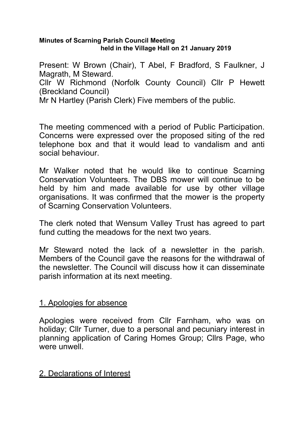#### **Minutes of Scarning Parish Council Meeting held in the Village Hall on 21 January 2019**

Present: W Brown (Chair), T Abel, F Bradford, S Faulkner, J Magrath, M Steward. Cllr W Richmond (Norfolk County Council) Cllr P Hewett (Breckland Council) Mr N Hartley (Parish Clerk) Five members of the public.

The meeting commenced with a period of Public Participation. Concerns were expressed over the proposed siting of the red telephone box and that it would lead to vandalism and anti social behaviour.

Mr Walker noted that he would like to continue Scarning Conservation Volunteers. The DBS mower will continue to be held by him and made available for use by other village organisations. It was confirmed that the mower is the property of Scarning Conservation Volunteers.

The clerk noted that Wensum Valley Trust has agreed to part fund cutting the meadows for the next two years.

Mr Steward noted the lack of a newsletter in the parish. Members of the Council gave the reasons for the withdrawal of the newsletter. The Council will discuss how it can disseminate parish information at its next meeting.

## 1. Apologies for absence

Apologies were received from Cllr Farnham, who was on holiday; Cllr Turner, due to a personal and pecuniary interest in planning application of Caring Homes Group; Cllrs Page, who were unwell.

## 2. Declarations of Interest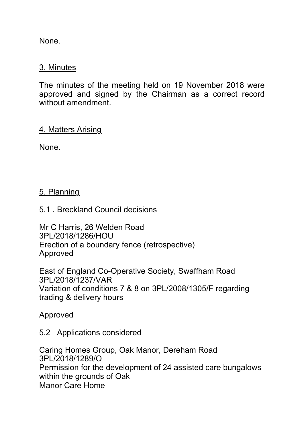None.

### 3. Minutes

The minutes of the meeting held on 19 November 2018 were approved and signed by the Chairman as a correct record without amendment.

### 4. Matters Arising

None.

## 5. Planning

5.1 . Breckland Council decisions

Mr C Harris, 26 Welden Road 3PL/2018/1286/HOU Erection of a boundary fence (retrospective) Approved

East of England Co-Operative Society, Swaffham Road 3PL/2018/1237/VAR Variation of conditions 7 & 8 on 3PL/2008/1305/F regarding trading & delivery hours

Approved

5.2 Applications considered

Caring Homes Group, Oak Manor, Dereham Road 3PL/2018/1289/O Permission for the development of 24 assisted care bungalows within the grounds of Oak Manor Care Home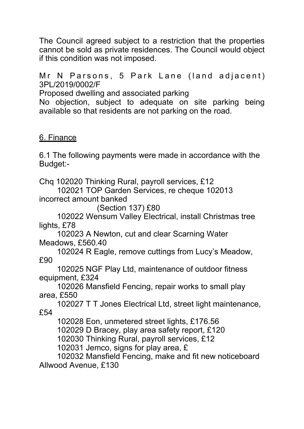The Council agreed subject to a restriction that the properties cannot be sold as private residences. The Council would object if this condition was not imposed.

Mr N Parsons, 5 Park Lane (land adjacent) 3PL/2019/0002/F

Proposed dwelling and associated parking

No objection, subject to adequate on site parking being available so that residents are not parking on the road.

## 6. Finance

6.1 The following payments were made in accordance with the Budget:-

Chq 102020 Thinking Rural, payroll services, £12

 102021 TOP Garden Services, re cheque 102013 incorrect amount banked

(Section 137) £80

 102022 Wensum Valley Electrical, install Christmas tree lights, £78

 102023 A Newton, cut and clear Scarning Water Meadows, £560.40

 102024 R Eagle, remove cuttings from Lucy's Meadow, £90

 102025 NGF Play Ltd, maintenance of outdoor fitness equipment, £324

 102026 Mansfield Fencing, repair works to small play area, £550

 102027 T T Jones Electrical Ltd, street light maintenance, £54

102028 Eon, unmetered street lights, £176.56

102029 D Bracey, play area safety report, £120

102030 Thinking Rural, payroll services, £12

102031 Jemco, signs for play area, £

 102032 Mansfield Fencing, make and fit new noticeboard Allwood Avenue, £130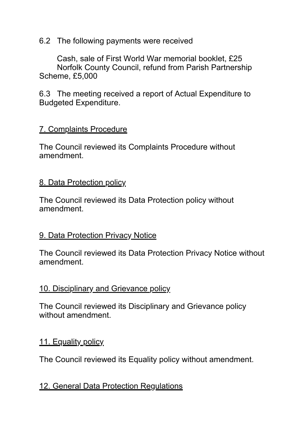6.2 The following payments were received

 Cash, sale of First World War memorial booklet, £25 Norfolk County Council, refund from Parish Partnership Scheme, £5,000

6.3 The meeting received a report of Actual Expenditure to Budgeted Expenditure.

## 7. Complaints Procedure

The Council reviewed its Complaints Procedure without amendment.

## 8. Data Protection policy

The Council reviewed its Data Protection policy without amendment.

## 9. Data Protection Privacy Notice

The Council reviewed its Data Protection Privacy Notice without amendment.

## 10. Disciplinary and Grievance policy

The Council reviewed its Disciplinary and Grievance policy without amendment.

## 11. Equality policy

The Council reviewed its Equality policy without amendment.

## 12. General Data Protection Regulations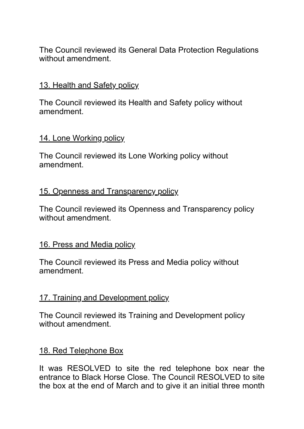The Council reviewed its General Data Protection Regulations without amendment.

### 13. Health and Safety policy

The Council reviewed its Health and Safety policy without amendment.

#### 14. Lone Working policy

The Council reviewed its Lone Working policy without amendment.

#### 15. Openness and Transparency policy

The Council reviewed its Openness and Transparency policy without amendment.

#### 16. Press and Media policy

The Council reviewed its Press and Media policy without amendment.

#### 17. Training and Development policy

The Council reviewed its Training and Development policy without amendment.

#### 18. Red Telephone Box

It was RESOLVED to site the red telephone box near the entrance to Black Horse Close. The Council RESOLVED to site the box at the end of March and to give it an initial three month